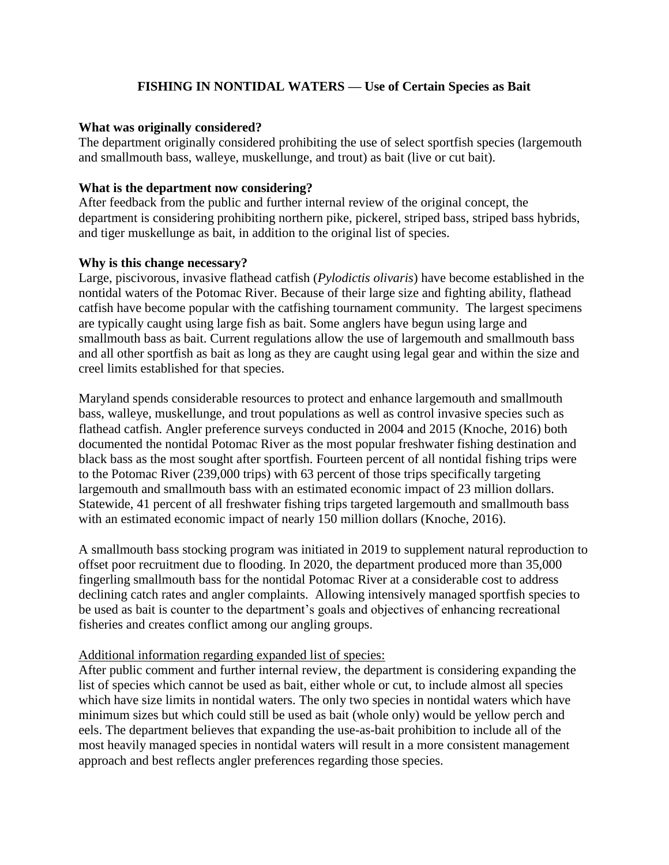# **FISHING IN NONTIDAL WATERS — Use of Certain Species as Bait**

#### **What was originally considered?**

The department originally considered prohibiting the use of select sportfish species (largemouth and smallmouth bass, walleye, muskellunge, and trout) as bait (live or cut bait).

### **What is the department now considering?**

After feedback from the public and further internal review of the original concept, the department is considering prohibiting northern pike, pickerel, striped bass, striped bass hybrids, and tiger muskellunge as bait, in addition to the original list of species.

### **Why is this change necessary?**

Large, piscivorous, invasive flathead catfish (*Pylodictis olivaris*) have become established in the nontidal waters of the Potomac River. Because of their large size and fighting ability, flathead catfish have become popular with the catfishing tournament community. The largest specimens are typically caught using large fish as bait. Some anglers have begun using large and smallmouth bass as bait. Current regulations allow the use of largemouth and smallmouth bass and all other sportfish as bait as long as they are caught using legal gear and within the size and creel limits established for that species.

Maryland spends considerable resources to protect and enhance largemouth and smallmouth bass, walleye, muskellunge, and trout populations as well as control invasive species such as flathead catfish. Angler preference surveys conducted in 2004 and 2015 (Knoche, 2016) both documented the nontidal Potomac River as the most popular freshwater fishing destination and black bass as the most sought after sportfish. Fourteen percent of all nontidal fishing trips were to the Potomac River (239,000 trips) with 63 percent of those trips specifically targeting largemouth and smallmouth bass with an estimated economic impact of 23 million dollars. Statewide, 41 percent of all freshwater fishing trips targeted largemouth and smallmouth bass with an estimated economic impact of nearly 150 million dollars (Knoche, 2016).

A smallmouth bass stocking program was initiated in 2019 to supplement natural reproduction to offset poor recruitment due to flooding. In 2020, the department produced more than 35,000 fingerling smallmouth bass for the nontidal Potomac River at a considerable cost to address declining catch rates and angler complaints. Allowing intensively managed sportfish species to be used as bait is counter to the department's goals and objectives of enhancing recreational fisheries and creates conflict among our angling groups.

### Additional information regarding expanded list of species:

After public comment and further internal review, the department is considering expanding the list of species which cannot be used as bait, either whole or cut, to include almost all species which have size limits in nontidal waters. The only two species in nontidal waters which have minimum sizes but which could still be used as bait (whole only) would be yellow perch and eels. The department believes that expanding the use-as-bait prohibition to include all of the most heavily managed species in nontidal waters will result in a more consistent management approach and best reflects angler preferences regarding those species.